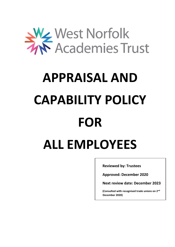

# **APPRAISAL AND CAPABILITY POLICY FOR ALL EMPLOYEES**

**Reviewed by: Trustees**

**Approved: December 2020**

**Next review date: December 2023**

**(Consulted with recognised trade unions on 2nd December 2020)**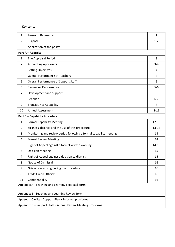#### **Contents**

| $\mathbf{1}$                                     | <b>Terms of Reference</b>                                          | $\mathbf{1}$   |  |
|--------------------------------------------------|--------------------------------------------------------------------|----------------|--|
| 2                                                | Purpose                                                            | $1 - 2$        |  |
| 3                                                | Application of the policy                                          | $\overline{2}$ |  |
|                                                  | Part A - Appraisal                                                 |                |  |
| 1                                                | The Appraisal Period                                               | 3              |  |
| $\overline{2}$                                   | <b>Appointing Appraisers</b>                                       | $3 - 4$        |  |
| 3                                                | <b>Setting Objectives</b>                                          | 4              |  |
| 4                                                | <b>Overall Performance of Teachers</b>                             | 4              |  |
| 5                                                | <b>Overall Performance of Support Staff</b>                        | 5              |  |
| 6                                                | <b>Reviewing Performance</b>                                       | $5 - 6$        |  |
| $\overline{7}$                                   | Development and Support                                            | 6              |  |
| 8                                                | Feedback                                                           | $6 - 7$        |  |
| 9                                                | <b>Transition to Capability</b>                                    | 7              |  |
| <b>Annual Assessment</b><br>10                   |                                                                    | $8 - 11$       |  |
|                                                  | <b>Part B-Capability Procedure</b>                                 |                |  |
| $\mathbf{1}$                                     | <b>Formal Capability Meeting</b>                                   | $12 - 13$      |  |
| $\overline{2}$                                   | Sickness absence and the use of this procedure                     | $13 - 14$      |  |
| 3                                                | Monitoring and review period following a formal capability meeting | 14             |  |
| 4                                                | <b>Formal Review Meeting</b>                                       | 14             |  |
| 5                                                | Right of Appeal against a formal written warning                   | $14 - 15$      |  |
| 6                                                | <b>Decision Meeting</b>                                            | 15             |  |
| $\overline{7}$                                   | Right of Appeal against a decision to dismiss                      | 15             |  |
| 8                                                | Notice of Dismissal                                                | 16             |  |
| 9                                                | Grievances arising during the procedure                            | 16             |  |
| 10                                               | <b>Trade Union Officials</b>                                       | 16             |  |
| 11                                               | Confidentiality                                                    | 16             |  |
| Appendix A - Teaching and Learning Feedback form |                                                                    |                |  |
| Appendix B - Teaching and Learning Review form   |                                                                    |                |  |
|                                                  | Appendix C - Staff Support Plan - Informal pro-forma               |                |  |
|                                                  | Appendix D - Support Staff - Annual Review Meeting pro-forma       |                |  |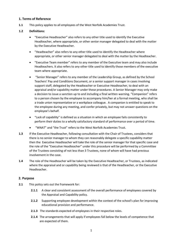#### **1. Terms of Reference**

**1.1** This policy applies to all employees of the West Norfolk Academies Trust.

#### **1.2 Definitions:**

- "Executive Headteacher" also refers to any other title used to identify the Executive Headteacher, where appropriate, or other senior manager delegated to deal with the matter by the Executive Headteacher.
- "Headteacher" also refers to any other title used to identify the Headteacher where appropriate, or other senior manager delegated to deal with the matter by the Headteacher.
- "Executive Team member" refers to any member of the Executive team and may also include Headteachers. It also refers to any other title used to identify those members of the executive team where appropriate.
- "Senior Manager" refers to any member of the Leadership Group, as defined by the School Teachers' Pay and Conditions Document, or a senior support manager in cases involving support staff, delegated by the Headteacher or Executive Headteacher, to deal with an appraisal and/or capability matter under these procedures. A Senior Manager may only make a decision to issue a sanction up to and including a final written warning. "Companion" refers to a person chosen by the employee to accompany him/her at a formal meeting, who shall be a trade union representative or a workplace colleague. A companion is entitled to speak to the employee during any meeting, and confer privately, but may not answer questions on the employee's behalf.
- "Lack of capability" is defined as a situation in which an employee fails consistently to perform their duties to a wholly satisfactory standard of performance over a period of time.
- "WNAT" and "the Trust" refers to the West Norfolk Academies Trust.
- **1.3** If the Executive Headteacher, following consultation with the Chair of Trustees, considers that there is no senior manager to whom they can reasonably delegate a specific capability matter then the Executive Headteacher will take the role of the senior manager for that specific case and the role of the "Executive Headteacher" under this procedure will be performed by a Committee of the Trustees consisting of not less than 3 Trustees, none of whom will have had previous involvement in the case.
- **1.4** The role of the Headteacher will be taken by the Executive Headteacher, or Trustees, as indicated where the appraisal and or capability being reviewed is that of the Headteacher, or the Executive Headteacher.

#### **2. Purpose**

- **2.1** This policy sets out the framework for:
	- 2.1.1 A clear and consistent assessment of the overall performance of employees covered by the Appraisal and Capability policy.
	- **2.1.2** Supporting employee development within the context of the school's plan for improving educational provision and performance.
	- **2.1.3** The standards expected of employees in their respective roles.
	- **2.1.4** The arrangements that will apply if employees fall below the levels of competence that are expected of them.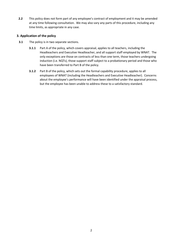**2.2** This policy does not form part of any employee's contract of employment and it may be amended at any time following consultation. We may also vary any parts of this procedure, including any time limits, as appropriate in any case.

#### **3. Application of the policy**

- **3.1** The policy is in two separate sections.
	- **3.1.1** Part A of the policy, which covers appraisal, applies to all teachers, including the Headteachers and Executive Headteacher, and all support staff employed by WNAT. The only exceptions are those on contracts of less than one term, those teachers undergoing induction (i.e. NQTs), those support staff subject to a probationary period and those who have been transferred to Part B of the policy.
	- **3.1.2** Part B of the policy, which sets out the formal capability procedure, applies to all employees of WNAT (including the Headteachers and Executive Headteacher). Concerns about the employee's performance will have been identified under the appraisal process, but the employee has been unable to address these to a satisfactory standard.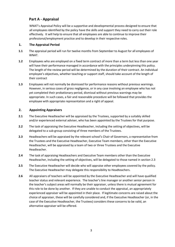#### **Part A - Appraisal**

WNAT's Appraisal Policy will be a supportive and developmental process designed to ensure that all employees identified by the policy have the skills and support they need to carry out their role effectively. It will help to ensure that all employees are able to continue to improve their professional/employment practice and to develop in their respective roles.

#### **1. The Appraisal Period**

- **1.1** The appraisal period will run for twelve months from September to August for all employees of WNAT.
- **1.2** Employees who are employed on a fixed term contract of more than a term but less than one year will have their performance managed in accordance with the principles underpinning this policy. The length of the review period will be determined by the duration of their contract. An individual employee's objectives, whether teaching or support staff, should take account of the length of their contract
- **1.3** Employees will not normally be dismissed for performance reasons without previous warnings. However, in serious cases of gross negligence, or in any case involving an employee who has not yet completed their probationary period, dismissal without previous warnings may be appropriate. In such cases, a fair and reasonable procedure will be followed that provides the employee with appropriate representation and a right of appeal.

#### **2. Appointing Appraisers**

- **2.1** The Executive Headteacher will be appraised by the Trustees, supported by a suitably skilled and/or experienced external adviser, who has been appointed by the Trustees for that purpose.
- **2.2** The task of appraising the Executive Headteacher, including the setting of objectives, will be delegated to a sub-group consisting of three members of the Trustees.
- **2.3** Headteachers will be appraised by the relevant school's Chair of Governors, a representative from the Trustees and the Executive Headteacher, Executive Team members, other than the Executive Headteacher, will be appraised by a team of two or three Trustees and the Executive Headteacher.
- **2.4** The task of appraising Headteachers and Executive Team members other than the Executive Headteacher, including the setting of objectives, will be delegated to those named in section 2.3
- **2.5** The Executive Headteacher will decide who will appraise other employees covered by the policy. The Executive Headteacher may delegate this responsibility to Headteachers.
- **2.6** All appraisers of teachers will be appointed by the Executive Headteacher and will have qualified teacher status and relevant experience. The teacher's line manager or another senior person in the teacher's subject areas will normally be their appraiser, unless there is mutual agreement for this role to be done by another. If they are unable to conduct the appraisal, an appropriately experienced appraiser will be appointed in their place. If legitimate concerns are raised about the choice of appraiser, these will be carefully considered and, if the Executive Headteacher (or, in the case of the Executive Headteacher, the Trustees) considers these concerns to be valid, an alternative appraiser will be offered.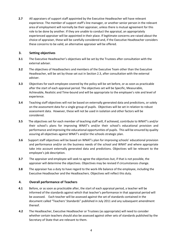**2.7** All appraisers of support staff appointed by the Executive Headteacher will have relevant experience. The member of support staff's line manager, or another senior person in the relevant area of employment will normally be their appraiser, unless there is mutual agreement for this role to be done by another. If they are unable to conduct the appraisal, an appropriately experienced appraiser will be appointed in their place. If legitimate concerns are raised about the choice of appraiser, these will be carefully considered and, if the Executive Headteacher considers these concerns to be valid, an alternative appraiser will be offered.

#### **3. Setting objectives**

- **3.1** The Executive Headteacher's objectives will be set by the Trustees after consultation with the external adviser.
- **3.2** The objectives of Headteachers and members of the Executive Team other than the Executive Headteacher, will be set by those set out in Section 2.3, after consultation with the external adviser.
- **3.3** Objectives for each employee covered by the policy will be set before, or as soon as practicable after the start of each appraisal period. The objectives set will be Specific, Measurable, Achievable, Realistic and Time-bound and will be appropriate to the employee's role and level of experience.
- **3.4** Teaching staff objectives will not be based on externally generated data and predictions, or solely on the assessment data for a single group of pupils. Objectives will be set in relation to robust assessment data. However, these will not be used in isolation and other factors will be considered.
- **3.5** The objectives set for each member of teaching staff will, if achieved, contribute to WNAT's and/or their school's plans for improving WNAT's and/or their school's educational provision and performance and improving the educational opportunities of pupils. This will be ensured by quality assuring all objectives against WNAT's and/or the schools strategic plan.
- **3.6** Support staff objectives will be based on WNAT's plan for improving schools' educational provision and performance and/or on the business needs of the school and WNAT and where appropriate take into account externally generated data and predictions. Objectives will be relevant to the employee's job description.
- **3.7** The appraiser and employee will seek to agree the objectives but, if that is not possible, the appraiser will determine the objectives. Objectives may be revised if circumstances change.
- **3.8** The appraiser has a duty to have regard to the work-life balance of the employee, including the Executive Headteacher and the Headteachers. Objectives will reflect this duty.

#### **4. Overall performance of Teachers**

- **4.1** Before, or as soon as practicable after, the start of each appraisal period, a teacher will be informed of the standards against which that teacher's performance in that appraisal period will be assessed. Each teacher will be assessed against the set of standards contained in the document called "Teachers' Standards" published in July 2011 and any subsequent amendment thereof.
- **4.2** The Headteacher, Executive Headteacher or Trustees (as appropriate) will need to consider whether certain teachers should also be assessed against other sets of standards published by the Secretary of State that are relevant to them.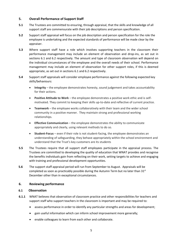#### **5. Overall Performance of Support Staff**

- **5.1** The Trustees are committed to ensuring, through appraisal, that the skills and knowledge of all support staff are commensurate with their job descriptions and person specification.
- **5.2** Support staff appraisal will focus on the job description and person specification for the role the employee is undertaking and the expected standards of performance will be made clear by the appraiser.
- **5.3** Where support staff have a role which involves supporting teachers in the classroom their performance management may include an element of observation and drop-ins, as set out in sections 6.1 and 6.2 respectively. The amount and type of classroom observation will depend on the individual circumstances of the employee and the overall needs of their school. Performance management may include an element of observation for other support roles, if this is deemed appropriate, as set out in sections 6.1 and 6.2 respectively.
- **5.4** Support staff appraisals will consider employee performance against the following expected key skills/behaviours:
	- **Integrity** the employee demonstrates honesty, sound judgement and takes accountability for their actions.
	- **Positive Attitude to Work** the employee demonstrates a positive work ethic and is selfmotivated. They commit to keeping their skills up-to-date and reflective of current practice.
	- **Teamwork** the employee works collaboratively with their team and the wider school community in a positive manner. They maintain strong and professional working relationships.
	- **Effective Communication** the employee demonstrates the ability to communicate appropriately and clearly, using relevant methods to do so.
	- **Student-Focus** even if their role is not student-facing, the employee demonstrates an understanding of safeguarding, they behave appropriately within the school environment and understand that the Trust's key customers are its students
- **5.5** The Trustees require that all support staff employees participate in the appraisal process. The Trustees are committed to developing the quality of education that WNAT provides and recognise the benefits individuals gain from reflecting on their work, setting targets to achieve and engaging with training and professional development opportunities.
- **5.6** The support staff appraisal period will run from September to August. Appraisals will be completed as soon as practicably possible during the Autumn Term but no later than  $31<sup>st</sup>$ December other than in exceptional circumstances.

#### **6. Reviewing performance**

#### **6.1 Observation**

- **6.1.1** WNAT believes that observation of classroom practice and other responsibilities for teachers and support staff who support teachers in the classroom is important and may be required to:
	- assess performance in order to identify any particular strengths and areas for development;
	- gain useful information which can inform school improvement more generally;
	- enable colleagues to learn from each other and collaborate.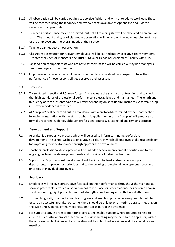- **6.1.2** All observation will be carried out in a supportive fashion and will not to add to workload. These will be recorded using the feedback and review sheets available as Appendix A and B of this document as appropriate.
- **6.1.3** Teacher's performance may be observed, but not all teaching staff will be observed on an annual basis. The amount and type of classroom observation will depend on the individual circumstances of the employee and the overall needs of their school.
- **6.1.4** Teachers can request an observation.
- **6.1.5** Classroom observation for relevant employees, will be carried out by Executive Team members, Headteachers, senior managers, the Trust SENCO, or Heads of Department/Faculty with QTS.
- **6.1.6** Observation of support staff who are not classroom based will be carried out by line managers, senior managers or Headteachers.
- **6.1.7** Employees who have responsibilities outside the classroom should also expect to have their performance of those responsibilities observed and assessed.

#### **6.2 Drop Ins**

- **6.2.1** Those stated in section 6.1.5, may "drop in" to evaluate the standards of teaching and to check that high standards of professional performance are established and maintained. The length and frequency of "drop in" observations will vary depending on specific circumstances. A formal "drop in" is when evidence is recorded.
- **6.2.2** All "drop ins" will be carried out in accordance with a protocol determined by the Headteacher following consultation with the staff to whom it applies. An informal "drop in" will produce no formally recorded evidence, although professional courtesy is expected and remains protocol.

#### **7. Development and Support**

- **7.1** Appraisal is a supportive process which will be used to inform continuing professional development. The school wishes to encourage a culture in which all employees take responsibility for improving their performance through appropriate development.
- **7.2** Teachers' professional development will be linked to school improvement priorities and to the ongoing professional development needs and priorities of individual teachers.
- **7.3** Support staff's professional development will be linked to Trust and/or School and/or departmental improvement priorities and to the ongoing professional development needs and priorities of individual employees.

#### **8. Feedback**

- **8.1** Employees will receive constructive feedback on their performance throughout the year and as soon as practicable, after an observation has taken place, or other evidence has become known. Feedback will highlight particular areas of strength as well as any areas that need attention.
- **8.2** For teaching staff, in order to monitor progress and enable support where required, to help to ensure a successful appraisal outcome, there should be at least one interim appraisal meeting on the cycle and evidence of this meeting submitted as part of the evidence.
- **8.3** For support staff, in order to monitor progress and enable support where required to help to ensure a successful appraisal outcome, one review meeting may be held by the appraiser, within the appraisal cycle. Evidence of any meeting will be submitted as evidence at the annual review meeting.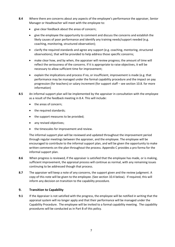- **8.4** Where there are concerns about any aspects of the employee's performance the appraiser, Senior Manager or Headteacher will meet with the employee to:
	- give clear feedback about the areas of concern;
	- give the employee the opportunity to comment and discuss the concerns and establish the likely causes of poor performance and identify any training needs/support needed (e.g. coaching, monitoring, structured observation);
	- clarify the required standards and agree any support (e.g. coaching, mentoring, structured observations), that will be provided to help address those specific concerns;
	- make clear how, and by when, the appraiser will review progress; the amount of time will reflect the seriousness of the concerns. If it is appropriate to raise objectives, it will be necessary to allow sufficient time for improvement;
	- explain the implications and process if no, or insufficient, improvement is made (e.g. that performance may be managed under the formal capability procedure and the impact on pay progression (for teachers) or salary increment (for support staff – see section 10.8. for more information)
- **8.5** An informal support plan will be implemented by the appraiser in consultation with the employee as a result of the feedback meeting in 8.4. This will include:
	- the areas of concern;
	- the required standards;
	- the support measures to be provided;
	- any revised objectives;
	- the timescales for improvement and review.

The informal support plan will be reviewed and updated throughout the improvement period through regular meetings between the appraiser, and the employee. The employee will be encouraged to contribute to the informal support plan, and will be given the opportunity to make written comments on the plan throughout the process. Appendix C provides a pro forma for the informal support plan.

- **8.6** When progress is reviewed, if the appraiser is satisfied that the employee has made, or is making, sufficient improvement, the appraisal process will continue as normal, with any remaining issues continuing to be addressed though that process.
- **8.7** The appraiser will keep a note of any concerns, the support given and the review judgment. A copy of this note will be given to the employee. (See section 10.4 below). If required, this will inform any decision on transition to the capability procedure.

#### **9. Transition to Capability**

**9.1** If the Appraiser is not satisfied with the progress, the employee will be notified in writing that the appraisal system will no longer apply and that their performance will be managed under the Capability Procedure. The employee will be invited to a formal capability meeting. The capability procedures will be conducted as in Part B of this policy.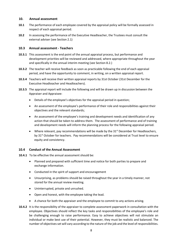#### **10. Annual assessment**

- **10.1** The performance of each employee covered by the appraisal policy will be formally assessed in respect of each appraisal period.
- **10.2** In assessing the performance of the Executive Headteacher, the Trustees must consult the external adviser (see Section 2.1)

#### **10.3 Annual assessment - Teachers**

- **10.3.1** This assessment is the end point of the annual appraisal process, but performance and development priorities will be reviewed and addressed, where appropriate throughout the year and specifically in the annual interim meeting (see Section 8.2.)
- **10.3.2** The teacher will receive feedback as soon as practicable following the end of each appraisal period, and have the opportunity to comment, in writing, on a written appraisal report.
- **10.3.4** Teachers will receive their written appraisal reports by 31st October (31st December for the Executive Headteacher and Headteachers).
- **10.3.5** The appraisal report will include the following and will be drawn up in discussion between the Appraiser and Appraisee:
	- Details of the employee's objectives for the appraisal period in question;
	- An assessment of the employee's performance of their role and responsibilities against their objectives and the relevant standards;
	- An assessment of the employee's training and development needs and identification of any action that should be taken to address them. The assessment of performance and of training and development needs will inform the planning process for the following appraisal period.
	- Where relevant, pay recommendations will be made by the 31<sup>st</sup> December for Headteachers, by 31<sup>st</sup> October for teachers. Pay recommendations will be considered at Trust level to ensure equity and consistency.

#### **10.4 Conduct of the Annual Assessment**

- **10.4.1** To be effective the annual assessment should be:
	- Planned and prepared with sufficient time and notice for both parties to prepare and exchange information.
	- Conducted in the spirit of support and encouragement
	- Unsurprising, as problems should be raised throughout the year in a timely manner, not stored for the annual review meeting.
	- Uninterrupted, private and unrushed.
	- Open and honest, with the employee taking the lead.
	- A chance for both the appraiser and the employee to commit to any actions arising.
- **10.4.2** It is the responsibility of the appraiser to complete assessment paperwork in consultation with the employee. Objectives should reflect the key tasks and responsibilities of the employee's role and be challenging enough to raise performance. Easy to achieve objectives will not stimulate an individual or make best use of their potential. However, they must be realistic and balanced. The number of objectives set will vary according to the nature of the job and the level of responsibilities.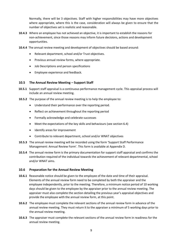Normally, there will be 3 objectives. Staff with higher responsibilities may have more objectives where appropriate, where this is the case, consideration will always be given to ensure that the number of objectives set is realistic and reasonable.

- **10.4.3** Where an employee has not achieved an objective, it is important to establish the reasons for non-achievement, since those reasons may inform future decisions, actions and development opportunities.
- **10.4.4** The annual review meeting and development of objectives should be based around:
	- Relevant department, school and/or Trust objectives.
	- Previous annual review forms, where appropriate.
	- Job Descriptions and person specifications
	- Employee experience and feedback.

#### **10.5 The Annual Review Meeting – Support Staff**

- **10.5.1** Support staff appraisal is a continuous performance management cycle. This appraisal process will include an annual review meeting.
- **10.5.2** The purpose of the annual review meeting is to help the employee to:
	- Understand their performance over the reporting period.
	- Reflect on achievement throughout the reporting period
	- Formally acknowledge and celebrate successes
	- Meet the expectations of the key skills and behaviours (see section 6.4)
	- Identify areas for improvement
	- Contribute to relevant department, school and/or WNAT objectives
- **10.5.3** The annual review meeting will be recorded using the form 'Support Staff Performance Management: Annual Review Form'. This form is available at Appendix D.
- **10.5.4** The annual review form is the primary documentation for support staff appraisal and confirms the contribution required of the individual towards the achievement of relevant departmental, school and/or WNAT aims.

#### **10.6 Preparation for the Annual Review Meeting**

- **10.6.1** Reasonable notice should be given to the employee of the date and time of their appraisal. Elements of the annual review form need to be completed by both the appraiser and the employee independently, prior to the meeting. Therefore, a minimum notice period of 10 working days should be given to the employee by the appraiser prior to the annual review meeting. The appraiser must also complete the section detailing the previous year's appraisal objectives and provide the employee with the annual review form, at this point.
- **10.6.2** The employee must complete the relevant sections of the annual review form in advance of the annual review meeting. They must return it to the appraiser a minimum of 5 working days prior to the annual review meeting.
- **10.6.3** The appraiser must complete the relevant sections of the annual review form in readiness for the annual review meeting.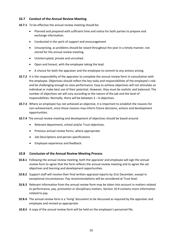#### **10.7 Conduct of the Annual Review Meeting**

- **10.7.1** To be effective the annual review meeting should be:
	- Planned and prepared with sufficient time and notice for both parties to prepare and exchange information.
	- Conducted in the spirit of support and encouragement
	- Unsurprising, as problems should be raised throughout the year in a timely manner, not stored for the annual review meeting.
	- Uninterrupted, private and unrushed.
	- Open and honest, with the employee taking the lead.
	- A chance for both the appraiser and the employee to commit to any actions arising.
- **10.7.2** It is the responsibility of the appraiser to complete the annual review form in consultation with the employee. Objectives should reflect the key tasks and responsibilities of the employee's role and be challenging enough to raise performance. Easy to achieve objectives will not stimulate an individual or make best use of their potential. However, they must be realistic and balanced. The number of objectives set will vary according to the nature of the job and the level of responsibilities. Normally, there will be between 3 – 6 objectives.
- **10.7.3** Where an employee has not achieved an objective, it is important to establish the reasons for non-achievement, since those reasons may inform future decisions, actions and development opportunities.
- **10.7.4** The annual review meeting and development of objectives should be based around:
	- Relevant department, school and/or Trust objectives.
	- Previous annual review forms, where appropriate.
	- Job Descriptions and person specifications
	- Employee experience and feedback.

#### **10.8 Conclusion of the Annual Review Meeting Process**

- **10.8.1** Following the annual review meeting, both the appraiser and employee will sign the annual review form to agree that the form reflects the annual review meeting and to agree the set objectives and learning and development opportunities.
- **10.8.2** Support staff will receive their final written appraisal reports by 31st December, except in exceptional circumstances. Pay recommendations will be considered at Trust level.
- **10.8.3** Relevant information from the annual review form may be taken into account in matters related to performance, pay, promotion or disciplinary matters. Section 10.9 contains more information related to pay.
- **10.8.4** The annual review form is a 'living' document to be discussed as required by the appraiser and employee and revised as appropriate.
- **10.8.5** A copy of the annual review form will be held on the employee's personnel file.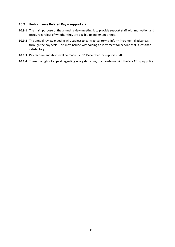#### **10.9 Performance Related Pay – support staff**

- **10.9.1** The main purpose of the annual review meeting is to provide support staff with motivation and focus, regardless of whether they are eligible to increment or not.
- **10.9.2** The annual review meeting will, subject to contractual terms, inform incremental advances through the pay scale. This may include withholding an increment for service that is less than satisfactory.
- **10.9.3** Pay recommendations will be made by 31<sup>st</sup> December for support staff.
- **10.9.4** There is a right of appeal regarding salary decisions, in accordance with the WNAT 's pay policy.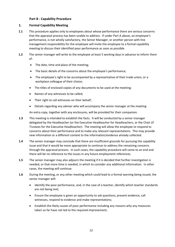#### **Part B - Capability Procedure**

#### **1. Formal Capability Meeting**

- **1.1** This procedure applies only to employees about whose performance there are serious concerns that the appraisal process has been unable to address. If under Part A above, an employee's performance, is not wholly satisfactory, the Senior Manager, or another person with line management responsibility for the employee will invite the employee to a formal capability meeting to discuss their identified poor performance as soon as possible.
- **1.2** The senior manager will write to the employee at least 5 working days in advance to inform them of:
	- The date, time and place of the meeting;
	- The basic details of the concerns about the employee's performance;
	- The employee's right to be accompanied by a representative of their trade union, or a workplace colleague of their choice;
	- The titles of enclosed copies of any documents to be used at the meeting;
	- Names of any witnesses to be called;
	- Their right to call witnesses on their behalf;
	- Details regarding any adviser who will accompany the senior manager at the meeting

An extra copy, together with any enclosures, will be provided for their companion.

- **1.3** This meeting is intended to establish the facts. It will be conducted by a senior manager delegated by the Headteacher (or the Executive Headteacher for Headteachers, or the Chair of Trustees for the Executive Headteacher)*.* The meeting will allow the employee to respond to concerns about their performance and to make any relevant representations. This may provide new information or a different context to the information/evidence already collected.
- **1.4** The senior manager may conclude that there are insufficient grounds for pursuing the capability issue and that it would be more appropriate to continue to address the remaining concerns through the appraisal process. In such cases, the capability procedure will come to an end and there will be no reference to the issues in any future employment references.
- **1.5** The senior manager may also adjourn the meeting if it is decided that further investigation is needed, or that more time is needed, in which to consider any additional information. In other cases, the meeting will continue.
- **1.6** During the meeting, or any other meeting which could lead to a formal warning being issued, the senior manager will:
	- Identify the poor performance, and, in the case of a teacher, identify which teacher standards are not being met;
	- Ensure the employee is given an opportunity to ask questions, present evidence, call witnesses, respond to evidence and make representations;
	- Establish the likely causes of poor performance including any reasons why any measures taken so far have not led to the required improvement;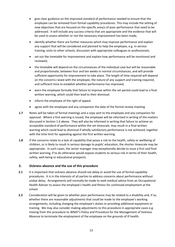- give clear guidance on the improved standard of performance needed to ensure that the employee can be removed from formal capability procedures. This may include the setting of new objectives that are focused on the specific area/s of poor performance that need to be addressed. It will include any success criteria that are appropriate and the evidence that will be used to assess whether or not the necessary improvement has been made;
- identify whether there are further measures which may improve performance and explain any support that will be considered and planned to help the employee, e.g. in-service training, visits to other schools, discussion with appropriate colleagues or professionals;
- set out the timetable for improvement and explain how performance will be monitored and reviewed;
- the timetable will depend on the circumstances of the individual case but will be reasonable and proportionate, between four and ten weeks in normal circumstances, and will provide sufficient opportunity for improvement to take place. The length of time required will depend on the concerns raised with the employee, the nature of any support and training required, and sufficient time to establish whether performance has improved;
- warn the employee formally that failure to improve within the set period could lead to a final written warning, which could then lead to their dismissal.
- inform the employee of the right of appeal
- agree with the employee and any companion the date of the formal review meeting
- **1.7** Notes will be taken of formal meetings and a copy sent to the employee and any companion for approval. Where a first warning is issued, the employee will be informed in writing of the matters discussed in Section 1.6 above. They will also be informed in writing that failure to achieve an acceptable standard of performance within the set timescale, may result in a final written warning which could lead to dismissal if wholly satisfactory performance is not achieved, together with the time limit for appealing against the first written warning.
- **1.8** If the concerns relate to a lack of capability that poses a risk to the health, safety or wellbeing of children, or is likely to result in serious damage to pupils' education, the shorter timescale may be appropriate. In such cases, the senior manager may exceptionally decide to issue a first and final written warning, if to do otherwise would expose students to serious risk in terms of their health, safety, well-being or educational prospects.

#### **2. Sickness absence and the use of this procedure**

- **2.1** It is important that sickness absence should not delay or avoid the use of formal capability procedures. It is in the interests of all parties to address concerns about performance without undue delay. Arrangements will normally be made to seek medical advice from an Occupational Health Adviser to assess the employee's health and fitness for continued employment at the school.
- **2.2** Consideration will be given to whether poor performance may be related to a disability and, if so, whether there are reasonable adjustments that could be made to the employee's working arrangements, including changing the employee's duties or providing additional equipment or training. We may also consider making adjustments to this procedure in appropriate cases e.g. moving from this procedure to WNAT's Policy and Procedure for the Management of Sickness Absence to terminate the employment of the employee on the grounds of ill health.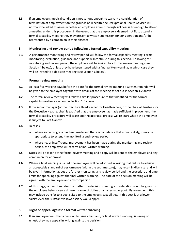**2.3** If an employee's medical condition is not serious enough to warrant a consideration of termination of employment on the grounds of ill health, the Occupational Health Adviser will normally be asked to assess whether an employee absent through sickness is fit enough to attend a meeting under this procedure. In the event that the employee is deemed not fit to attend a formal capability meeting they may present a written submission for consideration and/or be represented by a companion in their absence.

#### **3. Monitoring and review period following a formal capability meeting**

**3.1** A performance monitoring and review period will follow the formal capability meeting. Formal monitoring, evaluation, guidance and support will continue during this period. Following this monitoring and review period, the employee will be invited to a formal review meeting (see Section 4 below), unless they have been issued with a final written warning, in which case they will be invited to a decision meeting (see Section 6 below).

#### **4. Formal review meeting**

- **4.1** At least five working days before the date for the formal review meeting a written reminder will be given to the employee together with details of the meeting as set out in Section 1.2 above.
- **4.2** The formal review meeting will follow a similar procedure to that identified for the formal capability meeting as set out in Section 1.6 above.
- **4.3** If the senior manager (or the Executive Headteacher for Headteachers, or the Chair of Trustees for the Executive Headteacher) is satisfied that the employee has made sufficient improvement, the formal capability procedure will cease and the appraisal process will re-start where the employee is subject to Part A above.
- **4.4** In cases:
	- where some progress has been made and there is confidence that more is likely, it may be appropriate to extend the monitoring and review period;
	- where no, or insufficient, improvement has been made during the monitoring and review period, the employee will receive a final written warning.
- **4.5** Notes will be taken at the formal review meeting and a copy will be sent to the employee and any companion for approval.
- **4.6** Where a final warning is issued, the employee will be informed in writing that failure to achieve an acceptable standard of performance (within the set timescale), may result in dismissal and will be given information about the further monitoring and review period and the procedure and time limits for appealing against the final written warning. The date of the decision meeting will be agreed with the employee and any companion.
- **4.7** At this stage, rather than refer the matter to a decision meeting, consideration could be given to the employee being given a different range of duties or an alternative post. By agreement, this may include transfer to a post suited to the employee's capabilities. If this post is at a lower salary level, the substantive lower salary would apply.

#### **5. Right of appeal against a formal written warning**

**5.1** If an employee feels that a decision to issue a first and/or final written warning, is wrong or unjust, they may appeal in writing against the decision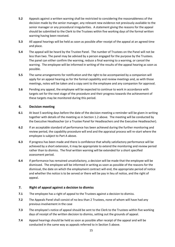- **5.2** Appeals against a written warning shall be restricted to considering the reasonableness of the decision made by the senior manager, any relevant new evidence not previously available to the senior manager or any procedural irregularities. A statement giving the reasons for the appeal should be submitted to the Clerk to the Trustees within five working days of the formal written warning having been received.
- **5.3** All appeal hearings will be held as soon as possible after receipt of the appeal at an agreed time and place.
- **5.4** The appeal will be heard by the Trustee Panel. The number of Trustees on the Panel will not be less than two. The panel may be advised by a person engaged for the purpose by the Trustees. The panel can either confirm the warning, reduce a final warning to a warning, or cancel the warning. The employee will be informed in writing of the results of the appeal hearing as soon as possible.
- **5.5** The same arrangements for notification and the right to be accompanied by a companion will apply for an appeal hearing as for the formal capability and review meetings and, as with those meetings, notes will be taken and a copy sent to the employee and any companion for approval.
- **5.6** Pending any appeal, the employee will be expected to continue to work in accordance with targets set for the next stage of the procedure and their progress towards the achievement of these targets may be monitored during this period.

#### **6. Decision meeting**

- **6.1** At least 5 working days before the date of the decision meeting a reminder will be given in writing together with details of the meeting as in Section 1.2 above. The meeting will be conducted by the Executive Headteacher (or a Trustee Panel for Headteachers and the Executive Headteacher).
- **6.2** If an acceptable standard of performance has been achieved during the further monitoring and review period, the capability procedure will end and the appraisal process will re-start where the employee is subject to Part A above.
- **6.3** If progress has been made and there is confidence that wholly satisfactory performance will be achieved by a short extension, it may be appropriate to extend the monitoring and review period rather than to dismiss. The final written warning will be extended for a short specified assessment period.
- **6.4** If performance has remained unsatisfactory, a decision will be made that the employee will be dismissed. The employee will be informed in writing as soon as possible of the reasons for the dismissal, the date on which the employment contract will end, the appropriate period of notice and whether the notice is to be served or there will be pay in lieu of notice, and the right of appeal.

#### **7. Right of appeal against a decision to dismiss**

- **7.1** The employee has a right of appeal to the Trustees against a decision to dismiss.
- **7.2** The Appeals Panel shall consist of no less than 2 Trustees, none of whom will have had any previous involvement in the case
- **7.3** The employee's notice of appeal should be sent to the Clerk to the Trustees within five working days of receipt of the written decision to dismiss, setting out the grounds of appeal.
- **7.4** Appeal hearings should be held as soon as possible after receipt of the appeal and will be conducted in the same way as appeals referred to in Section 5 above.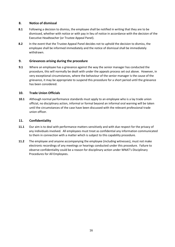#### **8. Notice of dismissal**

- **8.1** Following a decision to dismiss, the employee shall be notified in writing that they are to be dismissed, whether with notice or with pay in lieu of notice in accordance with the decision of the Executive Headteacher (or Trustee Appeal Panel).
- **8.2** In the event that the Trustee Appeal Panel decides not to uphold the decision to dismiss, the employee shall be informed immediately and the notice of dismissal shall be immediately withdrawn.

#### **9. Grievances arising during the procedure**

**9.1** Where an employee has a grievance against the way the senior manager has conducted the procedure, this will normally be dealt with under the appeals process set out above. However, in very exceptional circumstances, where the behaviour of the senior manager is the cause of the grievance, it may be appropriate to suspend this procedure for a short period until the grievance has been considered.

#### **10. Trade Union Officials**

**10.1** Although normal performance standards must apply to an employee who is a lay trade union official, no disciplinary action, informal or formal beyond an informal oral warning will be taken until the circumstances of the case have been discussed with the relevant professional trade union officer.

#### **11. Confidentiality**

- **11.1** Our aim is to deal with performance matters sensitively and with due respect for the privacy of any individuals involved. All employees must treat as confidential any information communicated to them in connection with a matter which is subject to this capability procedure.
- **11.2** The employee and anyone accompanying the employee (including witnesses), must not make electronic recordings of any meetings or hearings conducted under this procedure. Failure to observe confidentiality could be a reason for disciplinary action under WNAT's Disciplinary Procedures for All Employees.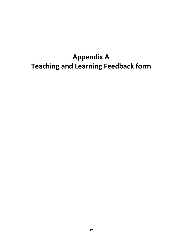### **Appendix A Teaching and Learning Feedback form**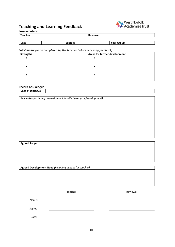#### **Teaching and Learning Feedback**



#### **Lesson details**

| Teacher |         | <b>Reviewer</b> |                   |  |
|---------|---------|-----------------|-------------------|--|
|         |         |                 |                   |  |
| Date    | Subject |                 | <b>Year Group</b> |  |

#### **Self-Review** *(to be completed by the teacher before receiving feedback)*

|                  | - -<br>$\overline{\phantom{a}}$ |
|------------------|---------------------------------|
| <b>Strengths</b> | Areas for further development   |
|                  |                                 |
|                  |                                 |
|                  |                                 |
|                  |                                 |
|                  |                                 |
|                  |                                 |

#### **Record of Dialogue**

**Date of Dialogue**

**Key Notes** *(including discussion on identified strengths/development)*:

**Agreed Target:**

**Agreed Development Need** *(including actions for teacher)*:

Teacher **Reviewer** Reviewer

Name:

Signed:

Date: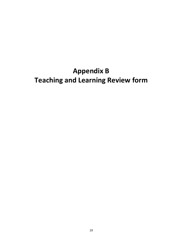### **Appendix B Teaching and Learning Review form**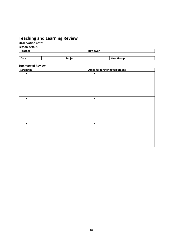#### **Teaching and Learning Review**

**Observation notes**

**Lesson details**

| <b>Teacher</b> |                | Reviewer |                   |
|----------------|----------------|----------|-------------------|
|                |                |          |                   |
| Date           | <b>Subject</b> |          | <b>Year Group</b> |

#### **Summary of Review**

| ,<br><b>Strengths</b> | Areas for further development |
|-----------------------|-------------------------------|
|                       | $\bullet$                     |
|                       |                               |
|                       |                               |
|                       |                               |
|                       |                               |
|                       |                               |
| $\bullet$             | $\bullet$                     |
|                       |                               |
|                       |                               |
|                       |                               |
|                       |                               |
|                       |                               |
| $\bullet$             | $\bullet$                     |
|                       |                               |
|                       |                               |
|                       |                               |
|                       |                               |
|                       |                               |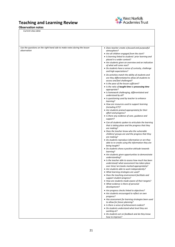#### **Teaching and Learning Review**

#### **Observation notes**

*Current class data*



| Use the questions on the right hand side to make notes during the lesson | • Does teacher create a focused and purposeful                                                                                       |
|--------------------------------------------------------------------------|--------------------------------------------------------------------------------------------------------------------------------------|
| observation                                                              | atmosphere?                                                                                                                          |
|                                                                          | • Are all children engaged from the start?                                                                                           |
|                                                                          | • Is learning linked to students' prior learning and<br>placed in a wider context?                                                   |
|                                                                          | • Are students given an overview and an indication<br>of what will come next?                                                        |
|                                                                          | • Do students have a sense of curiosity, challenge<br>and high expectations?                                                         |
|                                                                          | • Do activities match the ability of students and<br>are they differentiated to allow all students to<br>access and feel challenged? |
|                                                                          | • Is the pace of the lesson sufficient?<br>• Is the ratio of taught time to processing time<br>appropriate?                          |
|                                                                          | • Is homework challenging, differentiated and<br>understood by all?                                                                  |
|                                                                          | • Is questioning used by teacher to enhance<br>learning?                                                                             |
|                                                                          | • How are resources used to support learning<br>(including ICT)?                                                                     |
|                                                                          | • Are students praised appropriately for their<br>effort and progress?                                                               |
|                                                                          | • Is there any evidence of care, guidance and<br>support?                                                                            |
|                                                                          | • Can all students spoken to articulate the learning<br>that is taking place and the progress that they<br>are making?               |
|                                                                          | • Does the teacher know who the vulnerable<br>children/ groups are and the progress that they<br>are making?                         |
|                                                                          | • Do students reproduce information or are they<br>able to re-create using the information they are<br>being taught?                 |
|                                                                          | • Do students show a positive attitude towards<br>learning?                                                                          |
|                                                                          | • Are students given opportunities to demonstrate<br>understanding?                                                                  |
|                                                                          | • Is the teacher able to assess how much has been<br>understood/ what assessment has taken place                                     |
|                                                                          | over time/ are books marked appropriately?<br>• Are students able to work independently?                                             |
|                                                                          | • What learning strategies are used?<br>• Does the teaching environment facilitate and<br>support student progress?                  |
|                                                                          | • How are students made aware of their targets?                                                                                      |
|                                                                          | • What evidence is there of personal<br>development?                                                                                 |
|                                                                          | • Are progress checks linked to objectives?<br>• Are students encouraged to reflect on own<br>progress?                              |
|                                                                          | • Has assessment for learning strategies been used<br>to allow for future planning?                                                  |
|                                                                          | • Is there a sense of achievement evident?<br>• Do students understand what level they are                                           |
|                                                                          | working at?<br>• Do students act on feedback and do they know<br>how to improve?                                                     |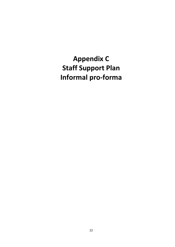**Appendix C Staff Support Plan Informal pro-forma**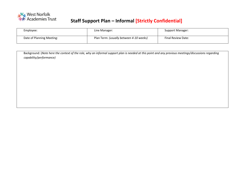

### **SW<sub>E</sub>** West Norfolk<br> **Staff Support Plan – Informal [Strictly Confidential]**

| Employee:                 | Line Manager:                           | <b>Support Manager:</b> |
|---------------------------|-----------------------------------------|-------------------------|
| Date of Planning Meeting: | Plan Term: (usually between 4-10 weeks) | Final Review Date:      |

| Background: (Note here the context of the role, why an informal support plan is needed at this point and any previous meetings/discussions regarding |  |
|------------------------------------------------------------------------------------------------------------------------------------------------------|--|
| capability/performance)                                                                                                                              |  |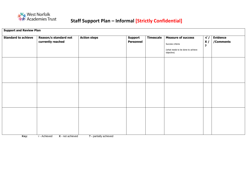

### **SW<sub>E</sub>** West Norfolk<br> **Staff Support Plan – Informal [Strictly Confidential]**

| <b>Support and Review Plan</b> |                                            |                       |                                    |                  |                                                                                                  |                                            |                              |
|--------------------------------|--------------------------------------------|-----------------------|------------------------------------|------------------|--------------------------------------------------------------------------------------------------|--------------------------------------------|------------------------------|
| <b>Standard to achieve</b>     | Reason/s standard not<br>currently reached | <b>Action steps</b>   | <b>Support</b><br><b>Personnel</b> | <b>Timescale</b> | <b>Measure of success</b><br>Success criteria<br>(what needs to be done to achieve<br>objective) | $\sqrt{}$<br>x/<br>$\overline{\mathbf{?}}$ | <b>Evidence</b><br>/Comments |
|                                |                                            |                       |                                    |                  |                                                                                                  |                                            |                              |
|                                |                                            |                       |                                    |                  |                                                                                                  |                                            |                              |
| $\mathbf{V}$ and $\mathbf{V}$  | bohiqued V notediausd                      | 2 nortially aghiercad |                                    |                  |                                                                                                  |                                            |                              |

**Key: √** - Achieved **X** - not achieved **? -** partially achieved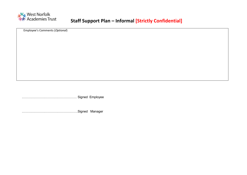

### **SW<sub>E</sub>** West Norfolk<br> **Staff Support Plan – Informal [Strictly Confidential]**

Employee's Comments (*Optional*)

…………………………………………… Signed Employee

…………………………………………….Signed Manager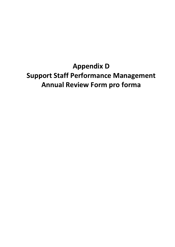**Appendix D Support Staff Performance Management Annual Review Form pro forma**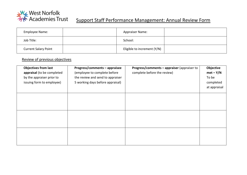

# **Support Staff Performance Management: Annual Review Form**<br> **EXAM** Academies Trust Support Staff Performance Management: Annual Review Form

| Employee Name:              | <b>Appraiser Name:</b>      |  |
|-----------------------------|-----------------------------|--|
| Job Title:                  | School:                     |  |
| <b>Current Salary Point</b> | Eligible to increment (Y/N) |  |

#### Review of previous objectives

| <b>Objectives from last</b> | Progress/comments - appraisee    | Progress/comments - appraiser (appraiser to | Objective    |
|-----------------------------|----------------------------------|---------------------------------------------|--------------|
| appraisal (to be completed  | (employee to complete before     | complete before the review)                 | $met - Y/N$  |
| by the appraiser prior to   | the review and send to appraiser |                                             | To be        |
| issuing form to employee)   | 5 working days before appraisal) |                                             | completed    |
|                             |                                  |                                             | at appraisal |
|                             |                                  |                                             |              |
|                             |                                  |                                             |              |
|                             |                                  |                                             |              |
|                             |                                  |                                             |              |
|                             |                                  |                                             |              |
|                             |                                  |                                             |              |
|                             |                                  |                                             |              |
|                             |                                  |                                             |              |
|                             |                                  |                                             |              |
|                             |                                  |                                             |              |
|                             |                                  |                                             |              |
|                             |                                  |                                             |              |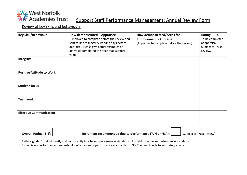

### **West Norfolk**<br>The Support Staff Performance Management: Annual Review Form

Review of key skills and behaviours

| <b>Key Skill/Behaviour</b>       | How demonstrated - Appraisee<br>(Employee to complete before the review and<br>sent to line manager 5 working days before<br>appraisal. Please give actual examples of<br>activities completed this year that support<br>value) | How demonstrated/Areas for<br><b>Improvement - Appraiser</b><br>(Appraiser to complete before the review) | $Rating - 1-4$<br>To be completed<br>at appraisal.<br>Subject to Trust<br>review. |
|----------------------------------|---------------------------------------------------------------------------------------------------------------------------------------------------------------------------------------------------------------------------------|-----------------------------------------------------------------------------------------------------------|-----------------------------------------------------------------------------------|
| Integrity                        |                                                                                                                                                                                                                                 |                                                                                                           |                                                                                   |
| <b>Positive Attitude to Work</b> |                                                                                                                                                                                                                                 |                                                                                                           |                                                                                   |
| <b>Student-focus</b>             |                                                                                                                                                                                                                                 |                                                                                                           |                                                                                   |
| <b>Teamwork</b>                  |                                                                                                                                                                                                                                 |                                                                                                           |                                                                                   |
| <b>Effective Communication</b>   |                                                                                                                                                                                                                                 |                                                                                                           |                                                                                   |

**Overall Rating (1-4): Increment recommended due to performance (Y/N or N/A):** (Subject to Trust Review)

Ratings guide: 1 = significantly and consistently falls below performance standards 2 = seldom achieves performance standards  $3$  = achieves performance standards  $4$  = often exceeds performance standards  $N -$  Too new in role to accurately assess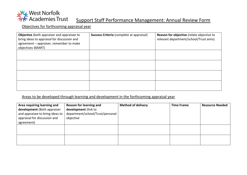

## **West Norfolk**<br>
Support Staff Performance Management: Annual Review Form

Objectives for forthcoming appraisal year

| Objective (both appraiser and appraisee to<br>bring ideas to appraisal for discussion and<br>agreement - appraiser, remember to make<br>objectives SMART) | Success Criteria (complete at appraisal) | Reason for objective (relate objective to<br>relevant department/school/Trust aims) |  |
|-----------------------------------------------------------------------------------------------------------------------------------------------------------|------------------------------------------|-------------------------------------------------------------------------------------|--|
|                                                                                                                                                           |                                          |                                                                                     |  |
|                                                                                                                                                           |                                          |                                                                                     |  |
|                                                                                                                                                           |                                          |                                                                                     |  |
|                                                                                                                                                           |                                          |                                                                                     |  |

#### Areas to be developed through learning and development in the forthcoming appraisal year

| Area requiring learning and<br>development (Both appraiser<br>and appraisee to bring ideas to<br>appraisal for discussion and | Reason for learning and<br>development (link to<br>department/school/Trust/personal<br>objective | <b>Method of delivery</b> | <b>Time Frame</b> | <b>Resource Needed</b> |
|-------------------------------------------------------------------------------------------------------------------------------|--------------------------------------------------------------------------------------------------|---------------------------|-------------------|------------------------|
| agreement)                                                                                                                    |                                                                                                  |                           |                   |                        |
|                                                                                                                               |                                                                                                  |                           |                   |                        |